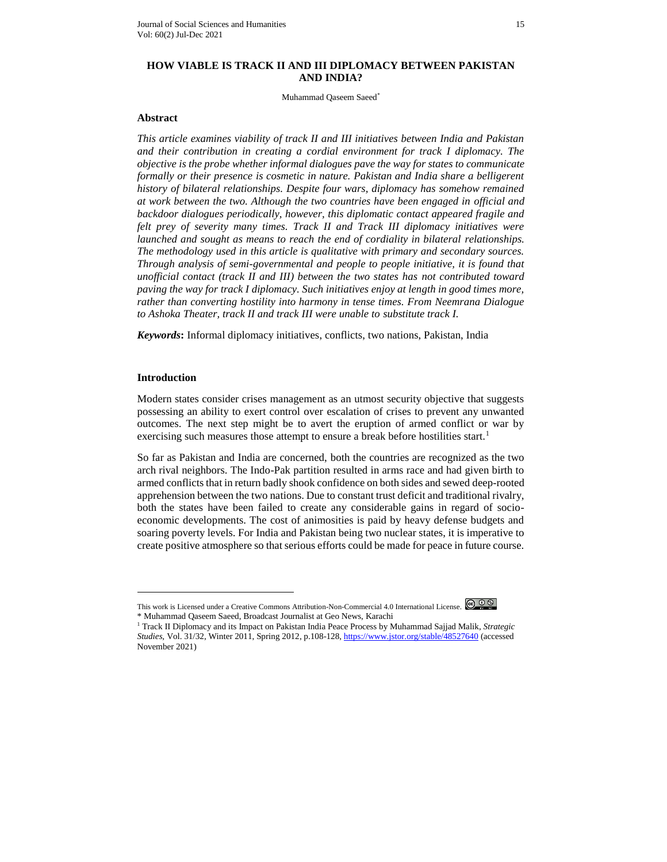# **HOW VIABLE IS TRACK II AND III DIPLOMACY BETWEEN PAKISTAN AND INDIA?**

Muhammad Qaseem Saeed\*

### **Abstract**

*This article examines viability of track II and III initiatives between India and Pakistan and their contribution in creating a cordial environment for track I diplomacy. The objective is the probe whether informal dialogues pave the way for states to communicate formally or their presence is cosmetic in nature. Pakistan and India share a belligerent history of bilateral relationships. Despite four wars, diplomacy has somehow remained at work between the two. Although the two countries have been engaged in official and backdoor dialogues periodically, however, this diplomatic contact appeared fragile and felt prey of severity many times. Track II and Track III diplomacy initiatives were launched and sought as means to reach the end of cordiality in bilateral relationships. The methodology used in this article is qualitative with primary and secondary sources. Through analysis of semi-governmental and people to people initiative, it is found that unofficial contact (track II and III) between the two states has not contributed toward paving the way for track I diplomacy. Such initiatives enjoy at length in good times more, rather than converting hostility into harmony in tense times. From Neemrana Dialogue to Ashoka Theater, track II and track III were unable to substitute track I.*

*Keywords***:** Informal diplomacy initiatives, conflicts, two nations, Pakistan, India

# **Introduction**

 $\overline{a}$ 

Modern states consider crises management as an utmost security objective that suggests possessing an ability to exert control over escalation of crises to prevent any unwanted outcomes. The next step might be to avert the eruption of armed conflict or war by exercising such measures those attempt to ensure a break before hostilities start.<sup>1</sup>

So far as Pakistan and India are concerned, both the countries are recognized as the two arch rival neighbors. The Indo-Pak partition resulted in arms race and had given birth to armed conflicts that in return badly shook confidence on both sides and sewed deep-rooted apprehension between the two nations. Due to constant trust deficit and traditional rivalry, both the states have been failed to create any considerable gains in regard of socioeconomic developments. The cost of animosities is paid by heavy defense budgets and soaring poverty levels. For India and Pakistan being two nuclear states, it is imperative to create positive atmosphere so that serious efforts could be made for peace in future course.

This work is Licensed under a Creative Commons Attribution-Non-Commercial 4.0 International License.  $\bigcirc \mathfrak{S} \mathfrak{D} \otimes$ \* Muhammad Qaseem Saeed, Broadcast Journalist at Geo News, Karachi

<sup>1</sup> Track II Diplomacy and its Impact on Pakistan India Peace Process by Muhammad Sajjad Malik, *Strategic Studies,* Vol. 31/32, Winter 2011, Spring 2012, p.108-128[, https://www.jstor.org/stable/48527640](https://www.jstor.org/stable/48527640) (accessed November 2021)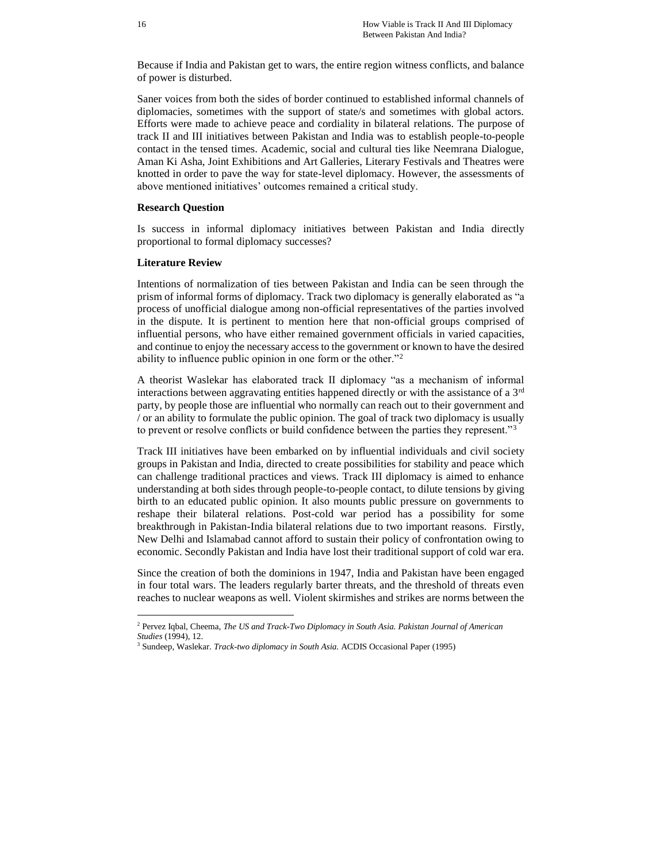Because if India and Pakistan get to wars, the entire region witness conflicts, and balance of power is disturbed.

Saner voices from both the sides of border continued to established informal channels of diplomacies, sometimes with the support of state/s and sometimes with global actors. Efforts were made to achieve peace and cordiality in bilateral relations. The purpose of track II and III initiatives between Pakistan and India was to establish people-to-people contact in the tensed times. Academic, social and cultural ties like Neemrana Dialogue, Aman Ki Asha, Joint Exhibitions and Art Galleries, Literary Festivals and Theatres were knotted in order to pave the way for state-level diplomacy. However, the assessments of above mentioned initiatives' outcomes remained a critical study.

### **Research Question**

Is success in informal diplomacy initiatives between Pakistan and India directly proportional to formal diplomacy successes?

#### **Literature Review**

 $\overline{a}$ 

Intentions of normalization of ties between Pakistan and India can be seen through the prism of informal forms of diplomacy. Track two diplomacy is generally elaborated as "a process of unofficial dialogue among non-official representatives of the parties involved in the dispute. It is pertinent to mention here that non-official groups comprised of influential persons, who have either remained government officials in varied capacities, and continue to enjoy the necessary access to the government or known to have the desired ability to influence public opinion in one form or the other."<sup>2</sup>

A theorist Waslekar has elaborated track II diplomacy "as a mechanism of informal interactions between aggravating entities happened directly or with the assistance of a  $3<sup>rd</sup>$ party, by people those are influential who normally can reach out to their government and / or an ability to formulate the public opinion. The goal of track two diplomacy is usually to prevent or resolve conflicts or build confidence between the parties they represent."<sup>3</sup>

Track III initiatives have been embarked on by influential individuals and civil society groups in Pakistan and India, directed to create possibilities for stability and peace which can challenge traditional practices and views. Track III diplomacy is aimed to enhance understanding at both sides through people-to-people contact, to dilute tensions by giving birth to an educated public opinion. It also mounts public pressure on governments to reshape their bilateral relations. Post-cold war period has a possibility for some breakthrough in Pakistan-India bilateral relations due to two important reasons. Firstly, New Delhi and Islamabad cannot afford to sustain their policy of confrontation owing to economic. Secondly Pakistan and India have lost their traditional support of cold war era.

Since the creation of both the dominions in 1947, India and Pakistan have been engaged in four total wars. The leaders regularly barter threats, and the threshold of threats even reaches to nuclear weapons as well. Violent skirmishes and strikes are norms between the

<sup>2</sup> Pervez Iqbal, Cheema, *The US and Track-Two Diplomacy in South Asia. Pakistan Journal of American Studies* (1994), 12.

<sup>3</sup> Sundeep, Waslekar. *Track-two diplomacy in South Asia.* ACDIS Occasional Paper (1995)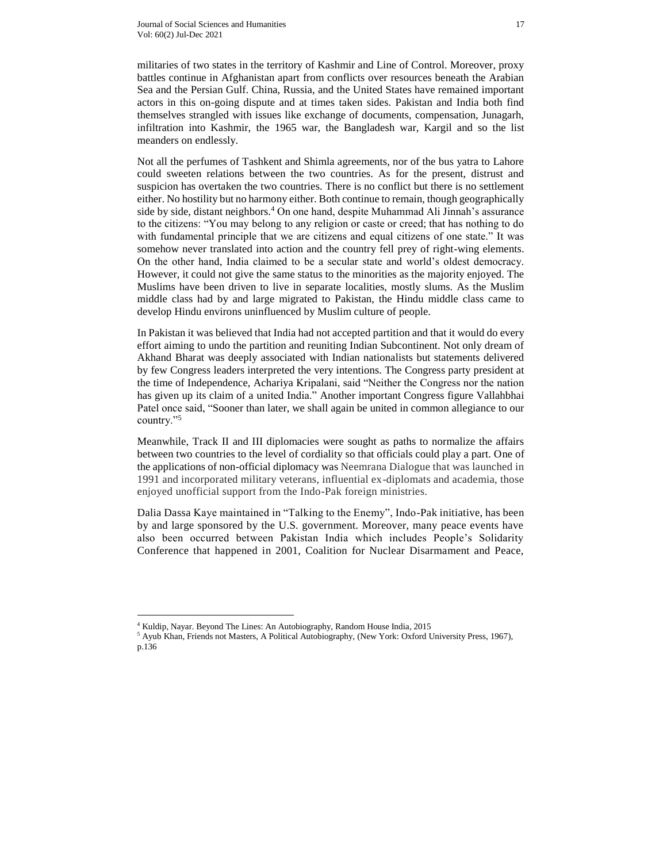militaries of two states in the territory of Kashmir and Line of Control. Moreover, proxy battles continue in Afghanistan apart from conflicts over resources beneath the Arabian Sea and the Persian Gulf. China, Russia, and the United States have remained important actors in this on-going dispute and at times taken sides. Pakistan and India both find themselves strangled with issues like exchange of documents, compensation, Junagarh, infiltration into Kashmir, the 1965 war, the Bangladesh war, Kargil and so the list meanders on endlessly.

Not all the perfumes of Tashkent and Shimla agreements, nor of the bus yatra to Lahore could sweeten relations between the two countries. As for the present, distrust and suspicion has overtaken the two countries. There is no conflict but there is no settlement either. No hostility but no harmony either. Both continue to remain, though geographically side by side, distant neighbors.<sup>4</sup> On one hand, despite Muhammad Ali Jinnah's assurance to the citizens: "You may belong to any religion or caste or creed; that has nothing to do with fundamental principle that we are citizens and equal citizens of one state." It was somehow never translated into action and the country fell prey of right-wing elements. On the other hand, India claimed to be a secular state and world's oldest democracy. However, it could not give the same status to the minorities as the majority enjoyed. The Muslims have been driven to live in separate localities, mostly slums. As the Muslim middle class had by and large migrated to Pakistan, the Hindu middle class came to develop Hindu environs uninfluenced by Muslim culture of people.

In Pakistan it was believed that India had not accepted partition and that it would do every effort aiming to undo the partition and reuniting Indian Subcontinent. Not only dream of Akhand Bharat was deeply associated with Indian nationalists but statements delivered by few Congress leaders interpreted the very intentions. The Congress party president at the time of Independence, Achariya Kripalani, said "Neither the Congress nor the nation has given up its claim of a united India." Another important Congress figure Vallahbhai Patel once said, "Sooner than later, we shall again be united in common allegiance to our country."<sup>5</sup>

Meanwhile, Track II and III diplomacies were sought as paths to normalize the affairs between two countries to the level of cordiality so that officials could play a part. One of the applications of non-official diplomacy was Neemrana Dialogue that was launched in 1991 and incorporated military veterans, influential ex-diplomats and academia, those enjoyed unofficial support from the Indo-Pak foreign ministries.

Dalia Dassa Kaye maintained in "Talking to the Enemy", Indo-Pak initiative, has been by and large sponsored by the U.S. government. Moreover, many peace events have also been occurred between Pakistan India which includes People's Solidarity Conference that happened in 2001, Coalition for Nuclear Disarmament and Peace,

<sup>4</sup> Kuldip, Nayar. Beyond The Lines: An Autobiography, Random House India, 2015

<sup>&</sup>lt;sup>5</sup> Ayub Khan, Friends not Masters, A Political Autobiography, (New York: Oxford University Press, 1967), p.136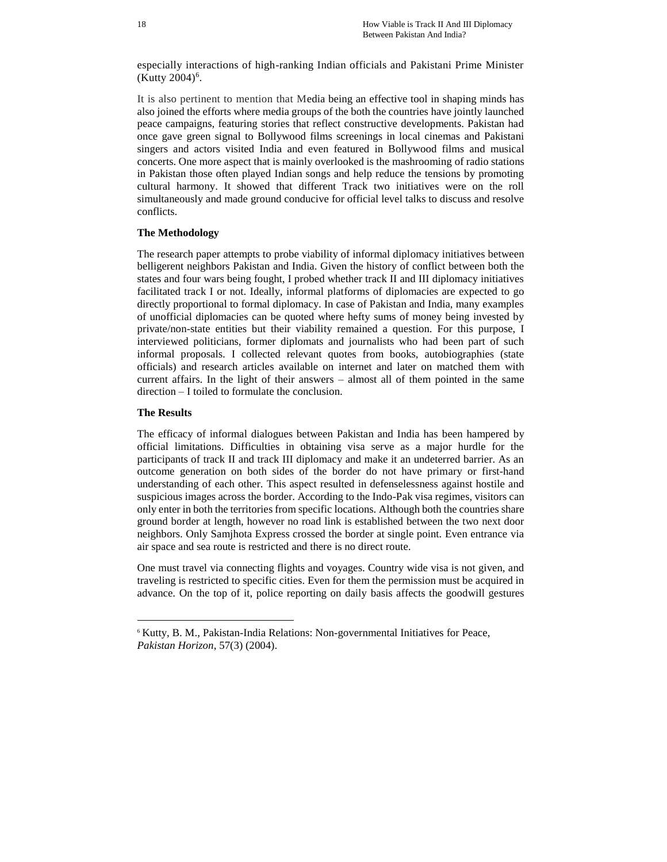especially interactions of high-ranking Indian officials and Pakistani Prime Minister  $(Kutty 2004)^6$ .

It is also pertinent to mention that Media being an effective tool in shaping minds has also joined the efforts where media groups of the both the countries have jointly launched peace campaigns, featuring stories that reflect constructive developments. Pakistan had once gave green signal to Bollywood films screenings in local cinemas and Pakistani singers and actors visited India and even featured in Bollywood films and musical concerts. One more aspect that is mainly overlooked is the mashrooming of radio stations in Pakistan those often played Indian songs and help reduce the tensions by promoting cultural harmony. It showed that different Track two initiatives were on the roll simultaneously and made ground conducive for official level talks to discuss and resolve conflicts.

### **The Methodology**

The research paper attempts to probe viability of informal diplomacy initiatives between belligerent neighbors Pakistan and India. Given the history of conflict between both the states and four wars being fought, I probed whether track II and III diplomacy initiatives facilitated track I or not. Ideally, informal platforms of diplomacies are expected to go directly proportional to formal diplomacy. In case of Pakistan and India, many examples of unofficial diplomacies can be quoted where hefty sums of money being invested by private/non-state entities but their viability remained a question. For this purpose, I interviewed politicians, former diplomats and journalists who had been part of such informal proposals. I collected relevant quotes from books, autobiographies (state officials) and research articles available on internet and later on matched them with current affairs. In the light of their answers – almost all of them pointed in the same direction – I toiled to formulate the conclusion.

#### **The Results**

 $\overline{a}$ 

The efficacy of informal dialogues between Pakistan and India has been hampered by official limitations. Difficulties in obtaining visa serve as a major hurdle for the participants of track II and track III diplomacy and make it an undeterred barrier. As an outcome generation on both sides of the border do not have primary or first-hand understanding of each other. This aspect resulted in defenselessness against hostile and suspicious images across the border. According to the Indo-Pak visa regimes, visitors can only enter in both the territories from specific locations. Although both the countries share ground border at length, however no road link is established between the two next door neighbors. Only Samjhota Express crossed the border at single point. Even entrance via air space and sea route is restricted and there is no direct route.

One must travel via connecting flights and voyages. Country wide visa is not given, and traveling is restricted to specific cities. Even for them the permission must be acquired in advance. On the top of it, police reporting on daily basis affects the goodwill gestures

<sup>6</sup> Kutty, B. M., Pakistan-India Relations: Non-governmental Initiatives for Peace, *Pakistan Horizon*, 57(3) (2004).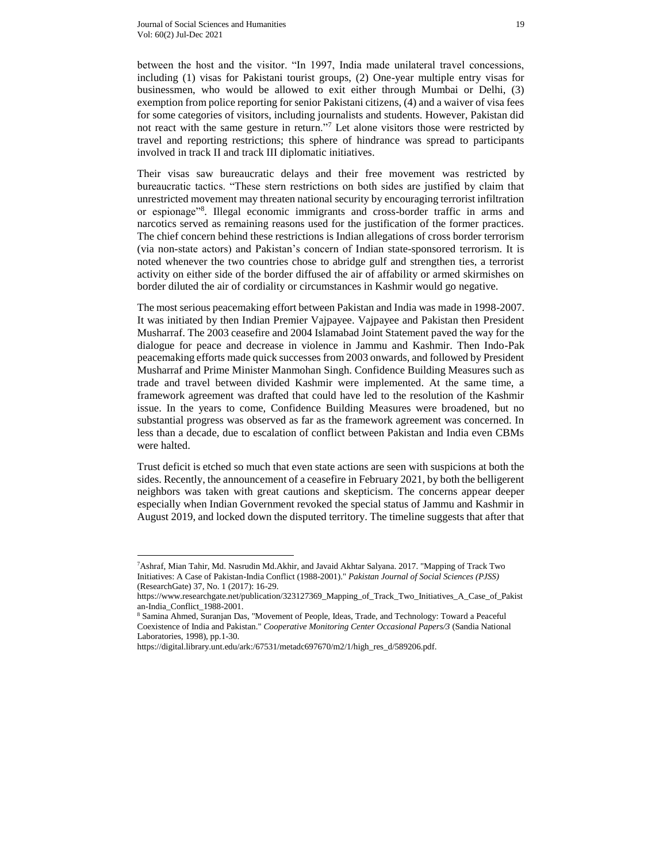between the host and the visitor. "In 1997, India made unilateral travel concessions, including (1) visas for Pakistani tourist groups, (2) One-year multiple entry visas for businessmen, who would be allowed to exit either through Mumbai or Delhi, (3) exemption from police reporting for senior Pakistani citizens, (4) and a waiver of visa fees for some categories of visitors, including journalists and students. However, Pakistan did not react with the same gesture in return."<sup>7</sup> Let alone visitors those were restricted by travel and reporting restrictions; this sphere of hindrance was spread to participants involved in track II and track III diplomatic initiatives.

Their visas saw bureaucratic delays and their free movement was restricted by bureaucratic tactics. "These stern restrictions on both sides are justified by claim that unrestricted movement may threaten national security by encouraging terrorist infiltration or espionage"<sup>8</sup> . Illegal economic immigrants and cross-border traffic in arms and narcotics served as remaining reasons used for the justification of the former practices. The chief concern behind these restrictions is Indian allegations of cross border terrorism (via non-state actors) and Pakistan's concern of Indian state-sponsored terrorism. It is noted whenever the two countries chose to abridge gulf and strengthen ties, a terrorist activity on either side of the border diffused the air of affability or armed skirmishes on border diluted the air of cordiality or circumstances in Kashmir would go negative.

The most serious peacemaking effort between Pakistan and India was made in 1998-2007. It was initiated by then Indian Premier Vajpayee. Vajpayee and Pakistan then President Musharraf. The 2003 ceasefire and 2004 Islamabad Joint Statement paved the way for the dialogue for peace and decrease in violence in Jammu and Kashmir. Then Indo-Pak peacemaking efforts made quick successes from 2003 onwards, and followed by President Musharraf and Prime Minister Manmohan Singh. Confidence Building Measures such as trade and travel between divided Kashmir were implemented. At the same time, a framework agreement was drafted that could have led to the resolution of the Kashmir issue. In the years to come, Confidence Building Measures were broadened, but no substantial progress was observed as far as the framework agreement was concerned. In less than a decade, due to escalation of conflict between Pakistan and India even CBMs were halted.

Trust deficit is etched so much that even state actions are seen with suspicions at both the sides. Recently, the announcement of a ceasefire in February 2021, by both the belligerent neighbors was taken with great cautions and skepticism. The concerns appear deeper especially when Indian Government revoked the special status of Jammu and Kashmir in August 2019, and locked down the disputed territory. The timeline suggests that after that

<sup>7</sup>Ashraf, Mian Tahir, Md. Nasrudin Md.Akhir, and Javaid Akhtar Salyana. 2017. "Mapping of Track Two Initiatives: A Case of Pakistan-India Conflict (1988-2001)." *Pakistan Journal of Social Sciences (PJSS)* (ResearchGate) 37, No. 1 (2017): 16-29.

https://www.researchgate.net/publication/323127369\_Mapping\_of\_Track\_Two\_Initiatives\_A\_Case\_of\_Pakist an-India\_Conflict\_1988-2001.

<sup>8</sup> Samina Ahmed, Suranjan Das, "Movement of People, Ideas, Trade, and Technology: Toward a Peaceful Coexistence of India and Pakistan." *Cooperative Monitoring Center Occasional Papers/3* (Sandia National Laboratories, 1998), pp.1-30.

https://digital.library.unt.edu/ark:/67531/metadc697670/m2/1/high\_res\_d/589206.pdf.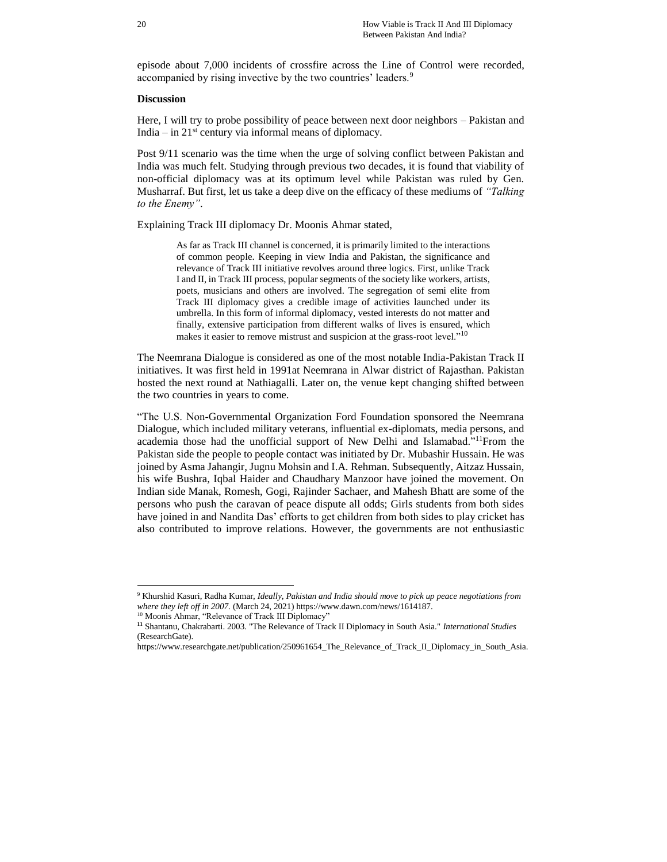episode about 7,000 incidents of crossfire across the Line of Control were recorded, accompanied by rising invective by the two countries' leaders.<sup>9</sup>

#### **Discussion**

Here, I will try to probe possibility of peace between next door neighbors – Pakistan and India – in  $21<sup>st</sup>$  century via informal means of diplomacy.

Post 9/11 scenario was the time when the urge of solving conflict between Pakistan and India was much felt. Studying through previous two decades, it is found that viability of non-official diplomacy was at its optimum level while Pakistan was ruled by Gen. Musharraf. But first, let us take a deep dive on the efficacy of these mediums of *"Talking to the Enemy"*.

Explaining Track III diplomacy Dr. Moonis Ahmar stated,

As far as Track III channel is concerned, it is primarily limited to the interactions of common people. Keeping in view India and Pakistan, the significance and relevance of Track III initiative revolves around three logics. First, unlike Track I and II, in Track III process, popular segments of the society like workers, artists, poets, musicians and others are involved. The segregation of semi elite from Track III diplomacy gives a credible image of activities launched under its umbrella. In this form of informal diplomacy, vested interests do not matter and finally, extensive participation from different walks of lives is ensured, which makes it easier to remove mistrust and suspicion at the grass-root level."<sup>10</sup>

The Neemrana Dialogue is considered as one of the most notable India-Pakistan Track II initiatives. It was first held in 1991at Neemrana in Alwar district of Rajasthan. Pakistan hosted the next round at Nathiagalli. Later on, the venue kept changing shifted between the two countries in years to come.

"The U.S. Non-Governmental Organization Ford Foundation sponsored the Neemrana Dialogue, which included military veterans, influential ex-diplomats, media persons, and academia those had the unofficial support of New Delhi and Islamabad."<sup>11</sup>From the Pakistan side the people to people contact was initiated by Dr. Mubashir Hussain. He was joined by Asma Jahangir, Jugnu Mohsin and I.A. Rehman. Subsequently, Aitzaz Hussain, his wife Bushra, Iqbal Haider and Chaudhary Manzoor have joined the movement. On Indian side Manak, Romesh, Gogi, Rajinder Sachaer, and Mahesh Bhatt are some of the persons who push the caravan of peace dispute all odds; Girls students from both sides have joined in and Nandita Das' efforts to get children from both sides to play cricket has also contributed to improve relations. However, the governments are not enthusiastic

<sup>9</sup> Khurshid Kasuri, Radha Kumar, *Ideally, Pakistan and India should move to pick up peace negotiations from where they left off in 2007.* (March 24, 2021) https://www.dawn.com/news/1614187.

<sup>&</sup>lt;sup>10</sup> Moonis Ahmar, "Relevance of Track III Diplomacy"

**<sup>11</sup>** Shantanu, Chakrabarti. 2003. "The Relevance of Track II Diplomacy in South Asia." *International Studies* (ResearchGate).

https://www.researchgate.net/publication/250961654\_The\_Relevance\_of\_Track\_II\_Diplomacy\_in\_South\_Asia.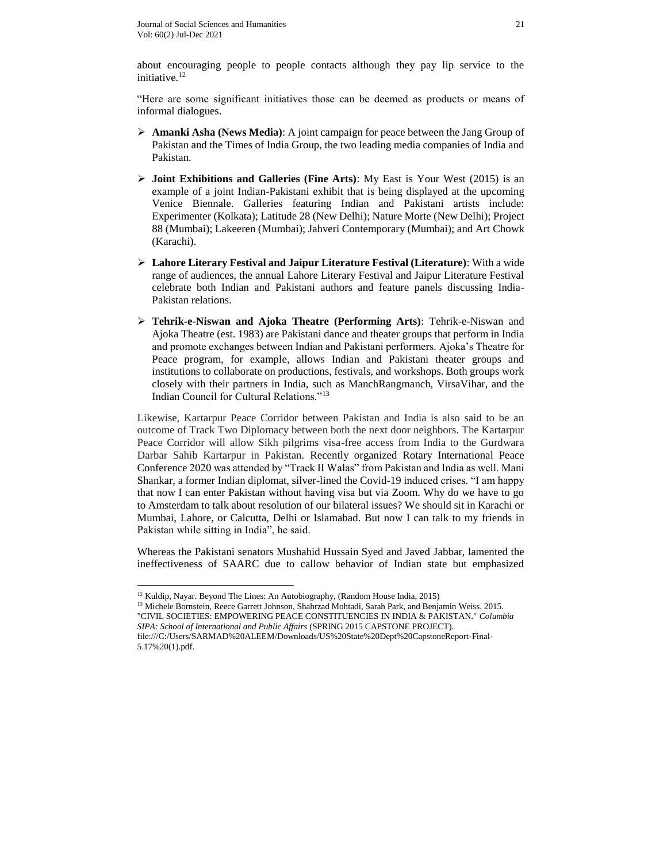about encouraging people to people contacts although they pay lip service to the initiative.<sup>12</sup>

"Here are some significant initiatives those can be deemed as products or means of informal dialogues.

- **Amanki Asha (News Media)**: A joint campaign for peace between the Jang Group of Pakistan and the Times of India Group, the two leading media companies of India and Pakistan.
- **Joint Exhibitions and Galleries (Fine Arts)**: My East is Your West (2015) is an example of a joint Indian-Pakistani exhibit that is being displayed at the upcoming Venice Biennale. Galleries featuring Indian and Pakistani artists include: Experimenter (Kolkata); Latitude 28 (New Delhi); Nature Morte (New Delhi); Project 88 (Mumbai); Lakeeren (Mumbai); Jahveri Contemporary (Mumbai); and Art Chowk (Karachi).
- **Lahore Literary Festival and Jaipur Literature Festival (Literature)**: With a wide range of audiences, the annual Lahore Literary Festival and Jaipur Literature Festival celebrate both Indian and Pakistani authors and feature panels discussing India-Pakistan relations.
- **Tehrik-e-Niswan and Ajoka Theatre (Performing Arts)**: Tehrik-e-Niswan and Ajoka Theatre (est. 1983) are Pakistani dance and theater groups that perform in India and promote exchanges between Indian and Pakistani performers. Ajoka's Theatre for Peace program, for example, allows Indian and Pakistani theater groups and institutions to collaborate on productions, festivals, and workshops. Both groups work closely with their partners in India, such as ManchRangmanch, VirsaVihar, and the Indian Council for Cultural Relations."<sup>13</sup>

Likewise, Kartarpur Peace Corridor between Pakistan and India is also said to be an outcome of Track Two Diplomacy between both the next door neighbors. The Kartarpur Peace Corridor will allow Sikh pilgrims visa-free access from India to the Gurdwara Darbar Sahib Kartarpur in Pakistan. Recently organized Rotary International Peace Conference 2020 was attended by "Track II Walas" from Pakistan and India as well. Mani Shankar, a former Indian diplomat, silver-lined the Covid-19 induced crises. "I am happy that now I can enter Pakistan without having visa but via Zoom. Why do we have to go to Amsterdam to talk about resolution of our bilateral issues? We should sit in Karachi or Mumbai, Lahore, or Calcutta, Delhi or Islamabad. But now I can talk to my friends in Pakistan while sitting in India", he said.

Whereas the Pakistani senators Mushahid Hussain Syed and Javed Jabbar, lamented the ineffectiveness of SAARC due to callow behavior of Indian state but emphasized

<sup>&</sup>lt;sup>12</sup> Kuldip, Nayar. Beyond The Lines: An Autobiography, (Random House India, 2015)

<sup>&</sup>lt;sup>13</sup> Michele Bornstein, Reece Garrett Johnson, Shahrzad Mohtadi, Sarah Park, and Benjamin Weiss. 2015. "CIVIL SOCIETIES: EMPOWERING PEACE CONSTITUENCIES IN INDIA & PAKISTAN." *Columbia SIPA: School of International and Public Affairs* (SPRING 2015 CAPSTONE PROJECT). file:///C:/Users/SARMAD%20ALEEM/Downloads/US%20State%20Dept%20CapstoneReport-Final-

<sup>5.17%20(1).</sup>pdf.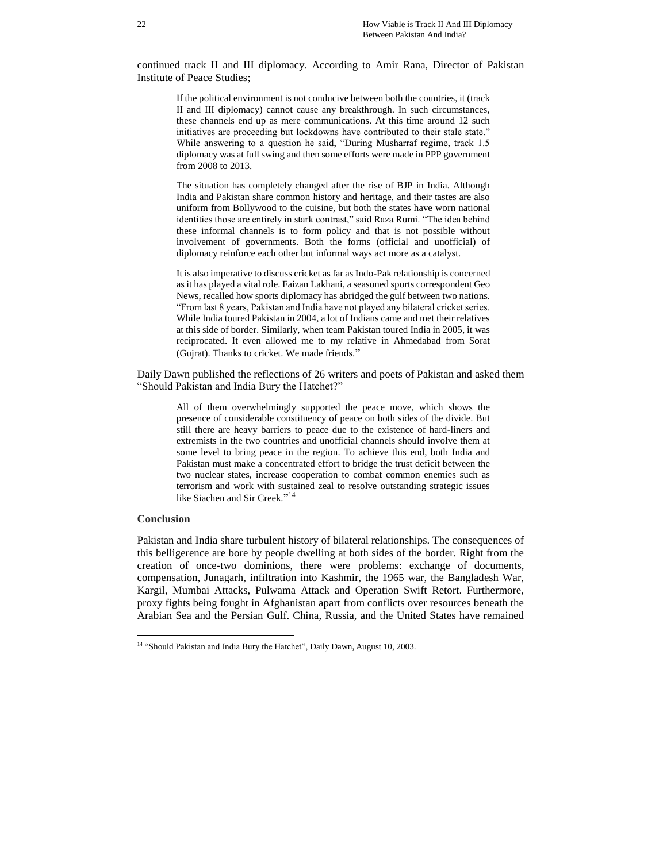continued track II and III diplomacy. According to Amir Rana, Director of Pakistan Institute of Peace Studies;

If the political environment is not conducive between both the countries, it (track II and III diplomacy) cannot cause any breakthrough. In such circumstances, these channels end up as mere communications. At this time around 12 such initiatives are proceeding but lockdowns have contributed to their stale state." While answering to a question he said, "During Musharraf regime, track 1.5 diplomacy was at full swing and then some efforts were made in PPP government from 2008 to 2013.

The situation has completely changed after the rise of BJP in India. Although India and Pakistan share common history and heritage, and their tastes are also uniform from Bollywood to the cuisine, but both the states have worn national identities those are entirely in stark contrast," said Raza Rumi. "The idea behind these informal channels is to form policy and that is not possible without involvement of governments. Both the forms (official and unofficial) of diplomacy reinforce each other but informal ways act more as a catalyst.

It is also imperative to discuss cricket as far as Indo-Pak relationship is concerned as it has played a vital role. Faizan Lakhani, a seasoned sports correspondent Geo News, recalled how sports diplomacy has abridged the gulf between two nations. "From last 8 years, Pakistan and India have not played any bilateral cricket series. While India toured Pakistan in 2004, a lot of Indians came and met their relatives at this side of border. Similarly, when team Pakistan toured India in 2005, it was reciprocated. It even allowed me to my relative in Ahmedabad from Sorat (Gujrat). Thanks to cricket. We made friends."

Daily Dawn published the reflections of 26 writers and poets of Pakistan and asked them "Should Pakistan and India Bury the Hatchet?"

All of them overwhelmingly supported the peace move, which shows the presence of considerable constituency of peace on both sides of the divide. But still there are heavy barriers to peace due to the existence of hard-liners and extremists in the two countries and unofficial channels should involve them at some level to bring peace in the region. To achieve this end, both India and Pakistan must make a concentrated effort to bridge the trust deficit between the two nuclear states, increase cooperation to combat common enemies such as terrorism and work with sustained zeal to resolve outstanding strategic issues like Siachen and Sir Creek."<sup>14</sup>

#### **Conclusion**

 $\overline{a}$ 

Pakistan and India share turbulent history of bilateral relationships. The consequences of this belligerence are bore by people dwelling at both sides of the border. Right from the creation of once-two dominions, there were problems: exchange of documents, compensation, Junagarh, infiltration into Kashmir, the 1965 war, the Bangladesh War, Kargil, Mumbai Attacks, Pulwama Attack and Operation Swift Retort. Furthermore, proxy fights being fought in Afghanistan apart from conflicts over resources beneath the Arabian Sea and the Persian Gulf. China, Russia, and the United States have remained

<sup>&</sup>lt;sup>14</sup> "Should Pakistan and India Bury the Hatchet", Daily Dawn, August 10, 2003.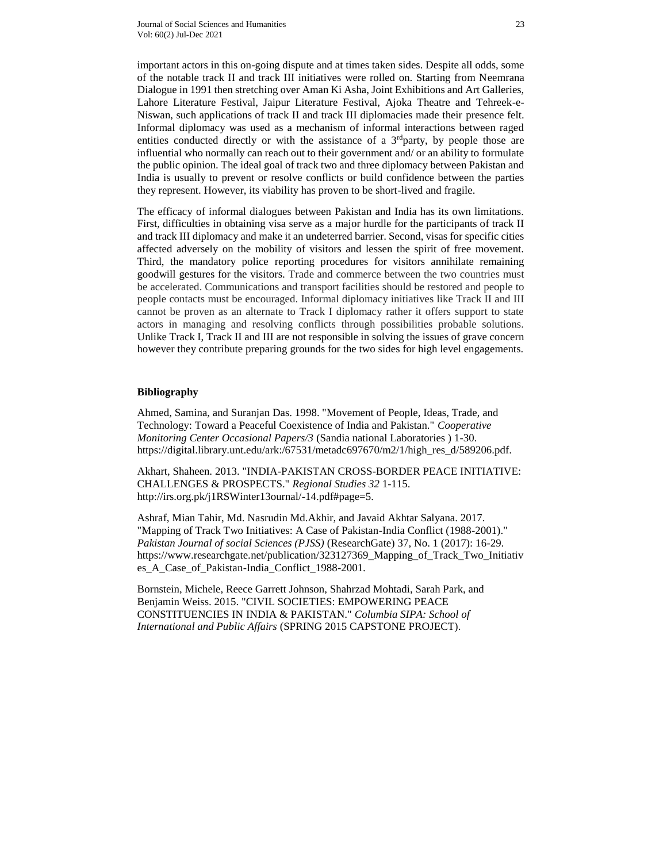important actors in this on-going dispute and at times taken sides. Despite all odds, some of the notable track II and track III initiatives were rolled on. Starting from Neemrana Dialogue in 1991 then stretching over Aman Ki Asha, Joint Exhibitions and Art Galleries, Lahore Literature Festival, Jaipur Literature Festival, Ajoka Theatre and Tehreek-e-Niswan, such applications of track II and track III diplomacies made their presence felt. Informal diplomacy was used as a mechanism of informal interactions between raged entities conducted directly or with the assistance of a  $3<sup>rd</sup>$  party, by people those are influential who normally can reach out to their government and/ or an ability to formulate the public opinion. The ideal goal of track two and three diplomacy between Pakistan and India is usually to prevent or resolve conflicts or build confidence between the parties they represent. However, its viability has proven to be short-lived and fragile.

The efficacy of informal dialogues between Pakistan and India has its own limitations. First, difficulties in obtaining visa serve as a major hurdle for the participants of track II and track III diplomacy and make it an undeterred barrier. Second, visas for specific cities affected adversely on the mobility of visitors and lessen the spirit of free movement. Third, the mandatory police reporting procedures for visitors annihilate remaining goodwill gestures for the visitors. Trade and commerce between the two countries must be accelerated. Communications and transport facilities should be restored and people to people contacts must be encouraged. Informal diplomacy initiatives like Track II and III cannot be proven as an alternate to Track I diplomacy rather it offers support to state actors in managing and resolving conflicts through possibilities probable solutions. Unlike Track I, Track II and III are not responsible in solving the issues of grave concern however they contribute preparing grounds for the two sides for high level engagements.

# **Bibliography**

Ahmed, Samina, and Suranjan Das. 1998. "Movement of People, Ideas, Trade, and Technology: Toward a Peaceful Coexistence of India and Pakistan." *Cooperative Monitoring Center Occasional Papers/3* (Sandia national Laboratories ) 1-30. https://digital.library.unt.edu/ark:/67531/metadc697670/m2/1/high\_res\_d/589206.pdf.

Akhart, Shaheen. 2013. "INDIA-PAKISTAN CROSS-BORDER PEACE INITIATIVE: CHALLENGES & PROSPECTS." *Regional Studies 32* 1-115. http://irs.org.pk/j1RSWinter13ournal/-14.pdf#page=5.

Ashraf, Mian Tahir, Md. Nasrudin Md.Akhir, and Javaid Akhtar Salyana. 2017. "Mapping of Track Two Initiatives: A Case of Pakistan-India Conflict (1988-2001)." *Pakistan Journal of social Sciences (PJSS)* (ResearchGate) 37, No. 1 (2017): 16-29. https://www.researchgate.net/publication/323127369\_Mapping\_of\_Track\_Two\_Initiativ es\_A\_Case\_of\_Pakistan-India\_Conflict\_1988-2001.

Bornstein, Michele, Reece Garrett Johnson, Shahrzad Mohtadi, Sarah Park, and Benjamin Weiss. 2015. "CIVIL SOCIETIES: EMPOWERING PEACE CONSTITUENCIES IN INDIA & PAKISTAN." *Columbia SIPA: School of International and Public Affairs* (SPRING 2015 CAPSTONE PROJECT).